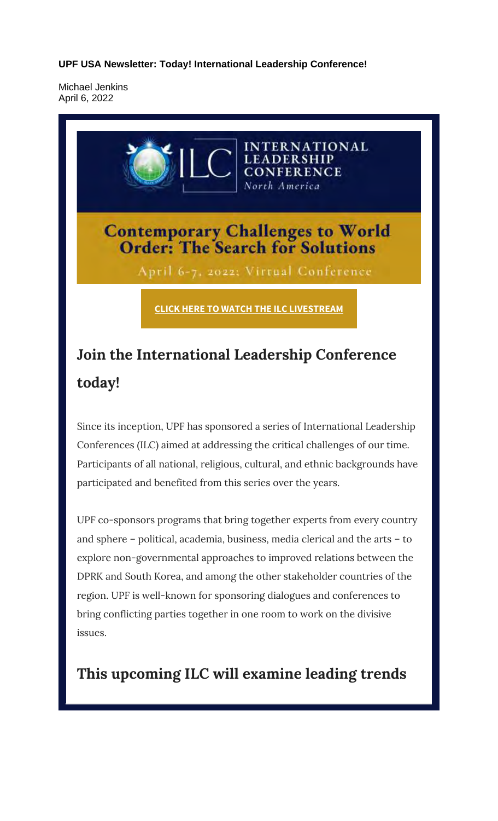**UPF USA Newsletter: Today! International Leadership Conference!**

Michael Jenkins April 6, 2022



## **Join the International Leadership Conference today!**

Since its inception, UPF has sponsored a series of International Leadership Conferences (ILC) aimed at addressing the critical challenges of our time. Participants of all national, religious, cultural, and ethnic backgrounds have participated and benefited from this series over the years.

UPF co-sponsors programs that bring together experts from every country and sphere – political, academia, business, media clerical and the arts – to explore non-governmental approaches to improved relations between the DPRK and South Korea, and among the other stakeholder countries of the region. UPF is well-known for sponsoring dialogues and conferences to bring conflicting parties together in one room to work on the divisive issues.

**This upcoming ILC will examine leading trends**